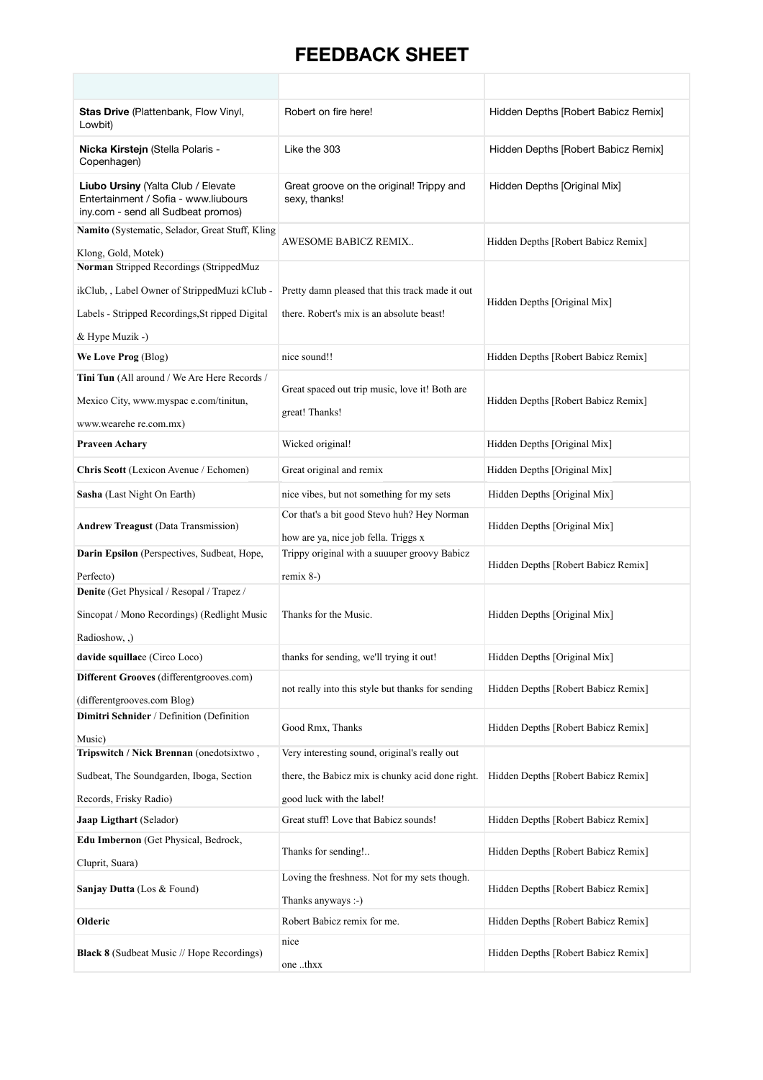## **FEEDBACK SHEET**

| Stas Drive (Plattenbank, Flow Vinyl,<br>Lowbit)                                                                                                                | Robert on fire here!                                                                         | Hidden Depths [Robert Babicz Remix] |
|----------------------------------------------------------------------------------------------------------------------------------------------------------------|----------------------------------------------------------------------------------------------|-------------------------------------|
| Nicka Kirstejn (Stella Polaris -<br>Copenhagen)                                                                                                                | Like the 303                                                                                 | Hidden Depths [Robert Babicz Remix] |
| Liubo Ursiny (Yalta Club / Elevate<br>Entertainment / Sofia - www.liubours<br>iny.com - send all Sudbeat promos)                                               | Great groove on the original! Trippy and<br>sexy, thanks!                                    | Hidden Depths [Original Mix]        |
| Namito (Systematic, Selador, Great Stuff, Kling<br>Klong, Gold, Motek)                                                                                         | AWESOME BABICZ REMIX                                                                         | Hidden Depths [Robert Babicz Remix] |
| Norman Stripped Recordings (StrippedMuz<br>ikClub, , Label Owner of StrippedMuzi kClub -<br>Labels - Stripped Recordings, St ripped Digital<br>& Hype Muzik -) | Pretty damn pleased that this track made it out<br>there. Robert's mix is an absolute beast! | Hidden Depths [Original Mix]        |
| We Love Prog (Blog)                                                                                                                                            | nice sound!!                                                                                 | Hidden Depths [Robert Babicz Remix] |
| Tini Tun (All around / We Are Here Records /<br>Mexico City, www.myspac e.com/tinitun,<br>www.wearehe re.com.mx)                                               | Great spaced out trip music, love it! Both are<br>great! Thanks!                             | Hidden Depths [Robert Babicz Remix] |
| <b>Praveen Achary</b>                                                                                                                                          | Wicked original!                                                                             | Hidden Depths [Original Mix]        |
| Chris Scott (Lexicon Avenue / Echomen)                                                                                                                         | Great original and remix                                                                     | Hidden Depths [Original Mix]        |
| Sasha (Last Night On Earth)                                                                                                                                    | nice vibes, but not something for my sets                                                    | Hidden Depths [Original Mix]        |
| <b>Andrew Treagust (Data Transmission)</b>                                                                                                                     | Cor that's a bit good Stevo huh? Hey Norman<br>how are ya, nice job fella. Triggs x          | Hidden Depths [Original Mix]        |
| Darin Epsilon (Perspectives, Sudbeat, Hope,                                                                                                                    | Trippy original with a suuuper groovy Babicz                                                 | Hidden Depths [Robert Babicz Remix] |
| Perfecto)                                                                                                                                                      | remix $8-$ )                                                                                 |                                     |
| Denite (Get Physical / Resopal / Trapez /<br>Sincopat / Mono Recordings) (Redlight Music<br>Radioshow, ,)                                                      | Thanks for the Music.                                                                        | Hidden Depths [Original Mix]        |
| davide squillace (Circo Loco)                                                                                                                                  | thanks for sending, we'll trying it out!                                                     | Hidden Depths [Original Mix]        |
| Different Grooves (differentgrooves.com)<br>(differentgrooves.com Blog)                                                                                        | not really into this style but thanks for sending                                            | Hidden Depths [Robert Babicz Remix] |
| Dimitri Schnider / Definition (Definition<br>Music)                                                                                                            | Good Rmx, Thanks                                                                             | Hidden Depths [Robert Babicz Remix] |
| Tripswitch / Nick Brennan (onedotsixtwo,                                                                                                                       | Very interesting sound, original's really out                                                |                                     |
| Sudbeat, The Soundgarden, Iboga, Section                                                                                                                       | there, the Babicz mix is chunky acid done right.                                             | Hidden Depths [Robert Babicz Remix] |
| Records, Frisky Radio)                                                                                                                                         | good luck with the label!                                                                    |                                     |
| Jaap Ligthart (Selador)                                                                                                                                        | Great stuff! Love that Babicz sounds!                                                        | Hidden Depths [Robert Babicz Remix] |
| Edu Imbernon (Get Physical, Bedrock,<br>Cluprit, Suara)                                                                                                        | Thanks for sending!                                                                          | Hidden Depths [Robert Babicz Remix] |
| Sanjay Dutta (Los & Found)                                                                                                                                     | Loving the freshness. Not for my sets though.<br>Thanks anyways :-)                          | Hidden Depths [Robert Babicz Remix] |
| Olderic                                                                                                                                                        | Robert Babicz remix for me.                                                                  | Hidden Depths [Robert Babicz Remix] |
|                                                                                                                                                                | nice                                                                                         |                                     |
| <b>Black 8</b> (Sudbeat Music // Hope Recordings)                                                                                                              | one thxx                                                                                     | Hidden Depths [Robert Babicz Remix] |